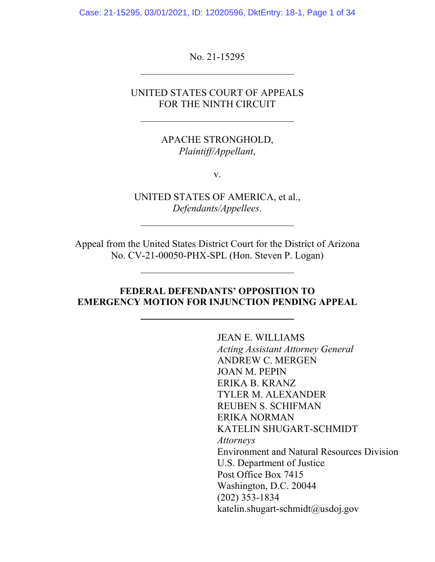Case: 21-15295, 03/01/2021, ID: 12020596, DktEntry: 18-1, Page 1 of 34

No. 21-15295

ı

 $\overline{a}$ 

 $\overline{a}$ 

 $\overline{a}$ 

UNITED STATES COURT OF APPEALS FOR THE NINTH CIRCUIT

> APACHE STRONGHOLD, *Plaintiff/Appellant*,

> > v.

UNITED STATES OF AMERICA, et al., *Defendants/Appellees*.

Appeal from the United States District Court for the District of Arizona No. CV-21-00050-PHX-SPL (Hon. Steven P. Logan)

#### **FEDERAL DEFENDANTS' OPPOSITION TO EMERGENCY MOTION FOR INJUNCTION PENDING APPEAL**

JEAN E. WILLIAMS *Acting Assistant Attorney General*  ANDREW C. MERGEN JOAN M. PEPIN ERIKA B. KRANZ TYLER M. ALEXANDER REUBEN S. SCHIFMAN ERIKA NORMAN KATELIN SHUGART-SCHMIDT *Attorneys*  Environment and Natural Resources Division U.S. Department of Justice Post Office Box 7415 Washington, D.C. 20044 (202) 353-1834 katelin.shugart-schmidt@usdoj.gov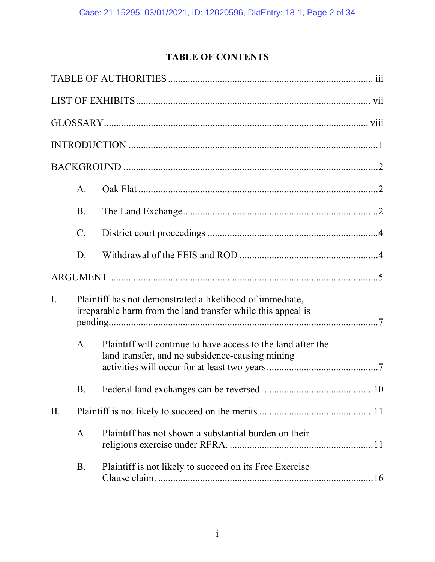# **TABLE OF CONTENTS**

|                | A.        |                                                                                                                           |  |
|----------------|-----------|---------------------------------------------------------------------------------------------------------------------------|--|
|                | <b>B.</b> |                                                                                                                           |  |
|                | C.        |                                                                                                                           |  |
|                | D.        |                                                                                                                           |  |
|                |           |                                                                                                                           |  |
| $\mathbf{I}$ . |           | Plaintiff has not demonstrated a likelihood of immediate,<br>irreparable harm from the land transfer while this appeal is |  |
|                | A.        | Plaintiff will continue to have access to the land after the<br>land transfer, and no subsidence-causing mining           |  |
|                | Β.        |                                                                                                                           |  |
| II.            |           |                                                                                                                           |  |
|                | A.        | Plaintiff has not shown a substantial burden on their                                                                     |  |
|                | B.        | Plaintiff is not likely to succeed on its Free Exercise                                                                   |  |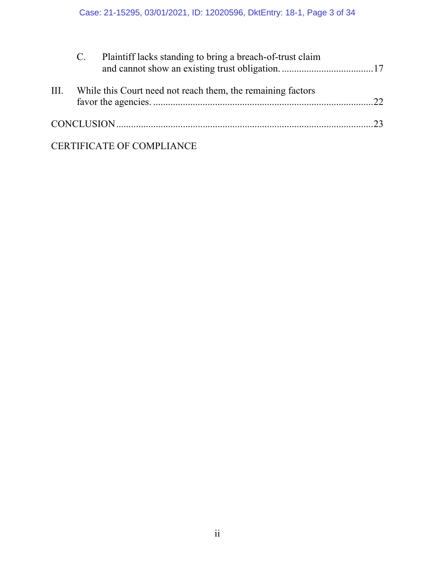|      | $C_{\cdot}$ | Plaintiff lacks standing to bring a breach-of-trust claim   |    |
|------|-------------|-------------------------------------------------------------|----|
| III. |             | While this Court need not reach them, the remaining factors | 22 |
|      |             |                                                             |    |

# CERTIFICATE OF COMPLIANCE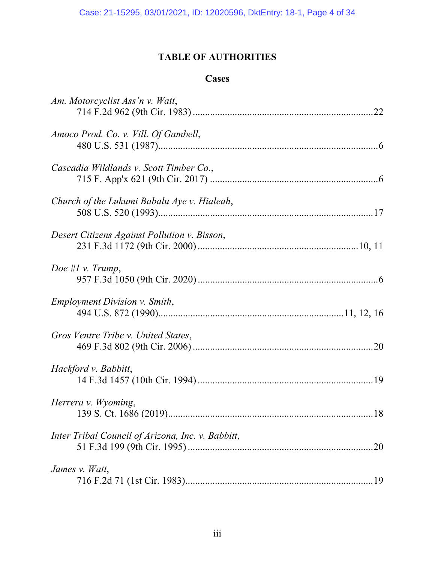## **TABLE OF AUTHORITIES**

### **Cases**

| Am. Motorcyclist Ass'n v. Watt,                   |     |
|---------------------------------------------------|-----|
|                                                   |     |
| Amoco Prod. Co. v. Vill. Of Gambell,              |     |
|                                                   |     |
| Cascadia Wildlands v. Scott Timber Co.,           |     |
|                                                   |     |
| Church of the Lukumi Babalu Aye v. Hialeah,       |     |
|                                                   |     |
| Desert Citizens Against Pollution v. Bisson,      |     |
|                                                   |     |
| Doe # $l$ v. Trump,                               |     |
|                                                   |     |
| <i>Employment Division v. Smith,</i>              |     |
|                                                   |     |
|                                                   |     |
| Gros Ventre Tribe v. United States,               |     |
|                                                   |     |
| Hackford v. Babbitt,                              |     |
|                                                   |     |
| Herrera v. Wyoming,                               | .18 |
|                                                   |     |
| Inter Tribal Council of Arizona, Inc. v. Babbitt, |     |
|                                                   |     |
| James v. Watt,                                    |     |
|                                                   |     |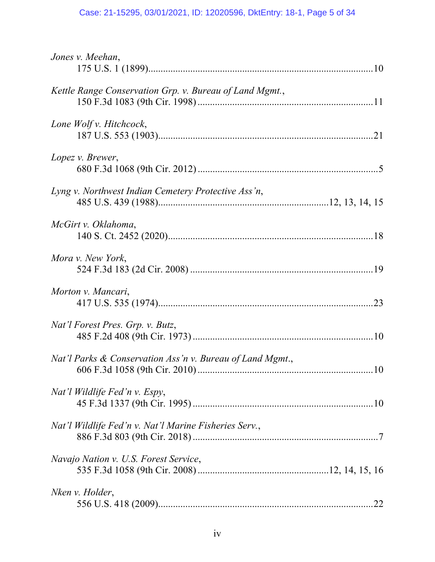# Case: 21-15295, 03/01/2021, ID: 12020596, DktEntry: 18-1, Page 5 of 34

| Jones v. Meehan,                                          |     |
|-----------------------------------------------------------|-----|
| Kettle Range Conservation Grp. v. Bureau of Land Mgmt.,   |     |
| Lone Wolf v. Hitchcock,                                   |     |
| Lopez v. Brewer,                                          |     |
| Lyng v. Northwest Indian Cemetery Protective Ass'n,       |     |
| McGirt v. Oklahoma,                                       |     |
| Mora v. New York,                                         |     |
| Morton v. Mancari,                                        |     |
| Nat'l Forest Pres. Grp. v. Butz,                          |     |
| Nat'l Parks & Conservation Ass'n v. Bureau of Land Mgmt., | 10  |
| Nat'l Wildlife Fed'n v. Espy,                             |     |
| Nat'l Wildlife Fed'n v. Nat'l Marine Fisheries Serv.,     |     |
| Navajo Nation v. U.S. Forest Service,                     |     |
| Nken v. Holder,                                           | .22 |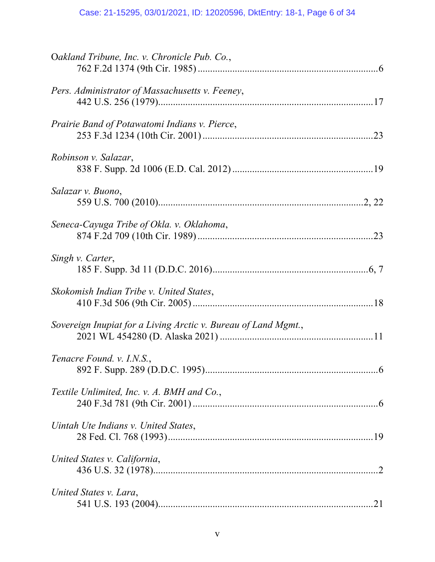# Case: 21-15295, 03/01/2021, ID: 12020596, DktEntry: 18-1, Page 6 of 34

| Oakland Tribune, Inc. v. Chronicle Pub. Co.,                   |
|----------------------------------------------------------------|
| Pers. Administrator of Massachusetts v. Feeney,                |
| Prairie Band of Potawatomi Indians v. Pierce,                  |
| Robinson v. Salazar,                                           |
| Salazar v. Buono,                                              |
| Seneca-Cayuga Tribe of Okla. v. Oklahoma,                      |
| Singh v. Carter,                                               |
| Skokomish Indian Tribe v. United States,                       |
| Sovereign Inupiat for a Living Arctic v. Bureau of Land Mgmt., |
| Tenacre Found. v. I.N.S.,<br>$\dots 6$                         |
| Textile Unlimited, Inc. v. A. BMH and Co.,                     |
| Uintah Ute Indians v. United States,                           |
| United States v. California,                                   |
| United States v. Lara,                                         |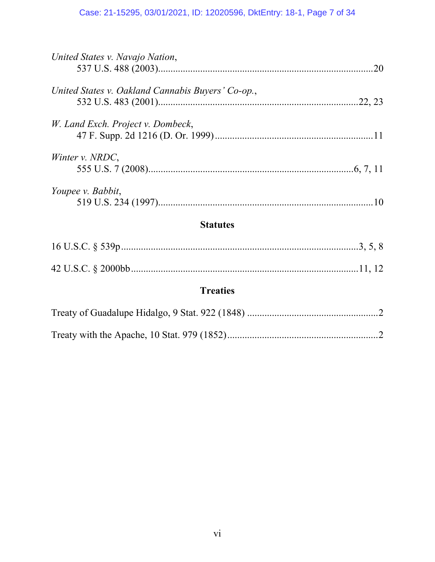## Case: 21-15295, 03/01/2021, ID: 12020596, DktEntry: 18-1, Page 7 of 34

| United States v. Navajo Nation,<br>.20            |
|---------------------------------------------------|
| United States v. Oakland Cannabis Buyers' Co-op., |
| W. Land Exch. Project v. Dombeck,                 |
| Winter v. NRDC,                                   |
| Youpee v. Babbit,                                 |
| <b>Statutes</b>                                   |
|                                                   |
|                                                   |
| <b>Treaties</b>                                   |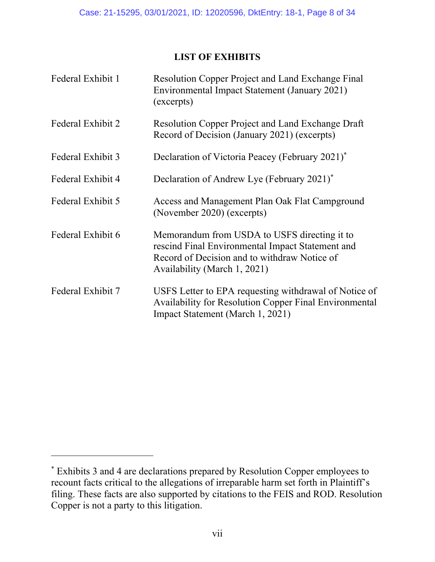### **LIST OF EXHIBITS**

| Federal Exhibit 1 | Resolution Copper Project and Land Exchange Final<br>Environmental Impact Statement (January 2021)<br>(excerpts)                                                                 |
|-------------------|----------------------------------------------------------------------------------------------------------------------------------------------------------------------------------|
| Federal Exhibit 2 | <b>Resolution Copper Project and Land Exchange Draft</b><br>Record of Decision (January 2021) (excerpts)                                                                         |
| Federal Exhibit 3 | Declaration of Victoria Peacey (February 2021) <sup>*</sup>                                                                                                                      |
| Federal Exhibit 4 | Declaration of Andrew Lye (February 2021) <sup>*</sup>                                                                                                                           |
| Federal Exhibit 5 | Access and Management Plan Oak Flat Campground<br>(November 2020) (excerpts)                                                                                                     |
| Federal Exhibit 6 | Memorandum from USDA to USFS directing it to<br>rescind Final Environmental Impact Statement and<br>Record of Decision and to withdraw Notice of<br>Availability (March 1, 2021) |
| Federal Exhibit 7 | USFS Letter to EPA requesting withdrawal of Notice of<br><b>Availability for Resolution Copper Final Environmental</b><br>Impact Statement (March 1, 2021)                       |

 $\overline{a}$ 

<sup>\*</sup> Exhibits 3 and 4 are declarations prepared by Resolution Copper employees to recount facts critical to the allegations of irreparable harm set forth in Plaintiff's filing. These facts are also supported by citations to the FEIS and ROD. Resolution Copper is not a party to this litigation.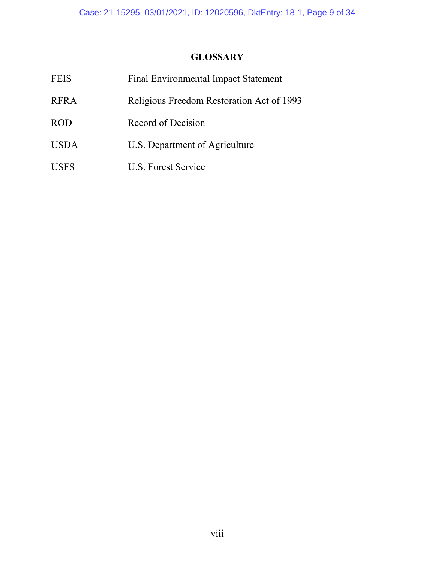# **GLOSSARY**

| <b>FEIS</b> | <b>Final Environmental Impact Statement</b> |
|-------------|---------------------------------------------|
| <b>RFRA</b> | Religious Freedom Restoration Act of 1993   |
| <b>ROD</b>  | Record of Decision                          |
| <b>USDA</b> | U.S. Department of Agriculture              |
| <b>USFS</b> | U.S. Forest Service                         |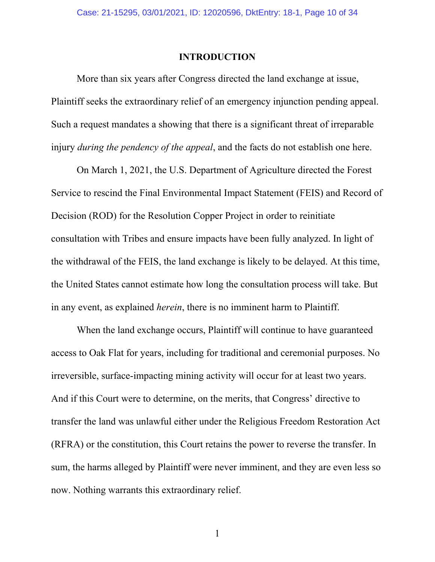#### **INTRODUCTION**

More than six years after Congress directed the land exchange at issue, Plaintiff seeks the extraordinary relief of an emergency injunction pending appeal. Such a request mandates a showing that there is a significant threat of irreparable injury *during the pendency of the appeal*, and the facts do not establish one here.

On March 1, 2021, the U.S. Department of Agriculture directed the Forest Service to rescind the Final Environmental Impact Statement (FEIS) and Record of Decision (ROD) for the Resolution Copper Project in order to reinitiate consultation with Tribes and ensure impacts have been fully analyzed. In light of the withdrawal of the FEIS, the land exchange is likely to be delayed. At this time, the United States cannot estimate how long the consultation process will take. But in any event, as explained *herein*, there is no imminent harm to Plaintiff.

When the land exchange occurs, Plaintiff will continue to have guaranteed access to Oak Flat for years, including for traditional and ceremonial purposes. No irreversible, surface-impacting mining activity will occur for at least two years. And if this Court were to determine, on the merits, that Congress' directive to transfer the land was unlawful either under the Religious Freedom Restoration Act (RFRA) or the constitution, this Court retains the power to reverse the transfer. In sum, the harms alleged by Plaintiff were never imminent, and they are even less so now. Nothing warrants this extraordinary relief.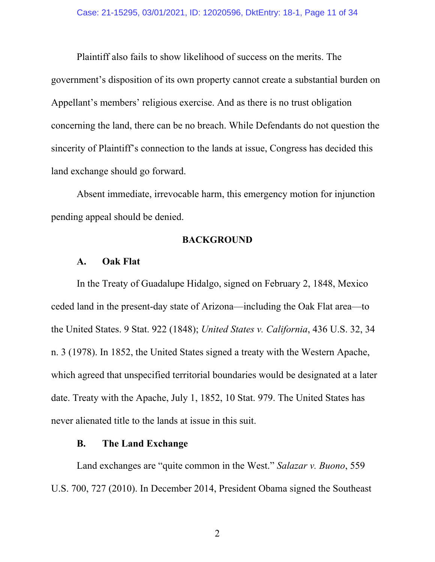Plaintiff also fails to show likelihood of success on the merits. The government's disposition of its own property cannot create a substantial burden on Appellant's members' religious exercise. And as there is no trust obligation concerning the land, there can be no breach. While Defendants do not question the sincerity of Plaintiff's connection to the lands at issue, Congress has decided this land exchange should go forward.

Absent immediate, irrevocable harm, this emergency motion for injunction pending appeal should be denied.

#### **BACKGROUND**

#### **A. Oak Flat**

In the Treaty of Guadalupe Hidalgo, signed on February 2, 1848, Mexico ceded land in the present-day state of Arizona—including the Oak Flat area—to the United States. 9 Stat. 922 (1848); *United States v. California*, 436 U.S. 32, 34 n. 3 (1978). In 1852, the United States signed a treaty with the Western Apache, which agreed that unspecified territorial boundaries would be designated at a later date. Treaty with the Apache, July 1, 1852, 10 Stat. 979. The United States has never alienated title to the lands at issue in this suit.

### **B. The Land Exchange**

Land exchanges are "quite common in the West." *Salazar v. Buono*, 559 U.S. 700, 727 (2010). In December 2014, President Obama signed the Southeast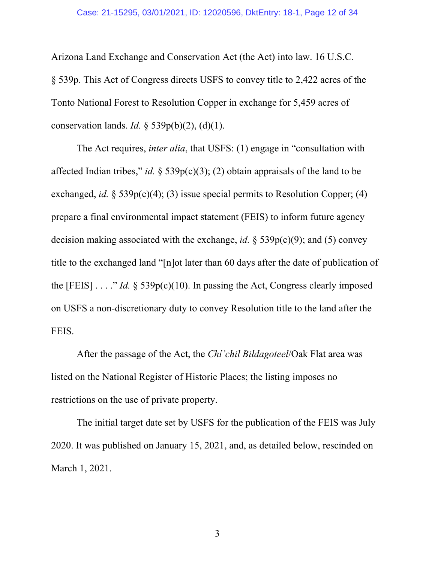Arizona Land Exchange and Conservation Act (the Act) into law. 16 U.S.C. § 539p. This Act of Congress directs USFS to convey title to 2,422 acres of the Tonto National Forest to Resolution Copper in exchange for 5,459 acres of conservation lands. *Id.* § 539p(b)(2), (d)(1).

The Act requires, *inter alia*, that USFS: (1) engage in "consultation with affected Indian tribes," *id.* § 539 $p(c)(3)$ ; (2) obtain appraisals of the land to be exchanged, *id.* § 539p(c)(4); (3) issue special permits to Resolution Copper; (4) prepare a final environmental impact statement (FEIS) to inform future agency decision making associated with the exchange, *id.* § 539p(c)(9); and (5) convey title to the exchanged land "[n]ot later than 60 days after the date of publication of the [FEIS]  $\ldots$  "*Id.* § 539 $p(c)(10)$ . In passing the Act, Congress clearly imposed on USFS a non-discretionary duty to convey Resolution title to the land after the FEIS.

After the passage of the Act, the *Chí'chil Biłdagoteel*/Oak Flat area was listed on the National Register of Historic Places; the listing imposes no restrictions on the use of private property.

The initial target date set by USFS for the publication of the FEIS was July 2020. It was published on January 15, 2021, and, as detailed below, rescinded on March 1, 2021.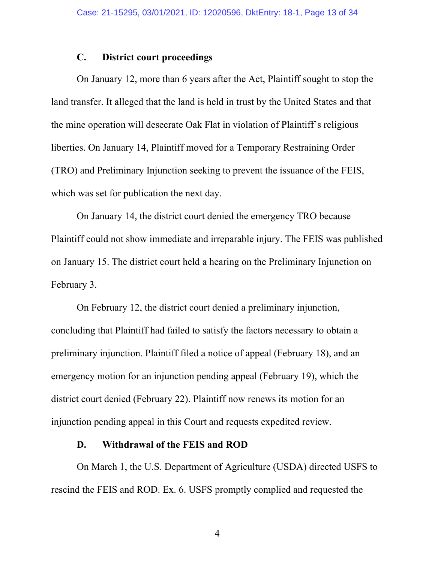#### **C. District court proceedings**

 On January 12, more than 6 years after the Act, Plaintiff sought to stop the land transfer. It alleged that the land is held in trust by the United States and that the mine operation will desecrate Oak Flat in violation of Plaintiff's religious liberties. On January 14, Plaintiff moved for a Temporary Restraining Order (TRO) and Preliminary Injunction seeking to prevent the issuance of the FEIS, which was set for publication the next day.

On January 14, the district court denied the emergency TRO because Plaintiff could not show immediate and irreparable injury. The FEIS was published on January 15. The district court held a hearing on the Preliminary Injunction on February 3.

 On February 12, the district court denied a preliminary injunction, concluding that Plaintiff had failed to satisfy the factors necessary to obtain a preliminary injunction. Plaintiff filed a notice of appeal (February 18), and an emergency motion for an injunction pending appeal (February 19), which the district court denied (February 22). Plaintiff now renews its motion for an injunction pending appeal in this Court and requests expedited review.

#### **D. Withdrawal of the FEIS and ROD**

On March 1, the U.S. Department of Agriculture (USDA) directed USFS to rescind the FEIS and ROD. Ex. 6. USFS promptly complied and requested the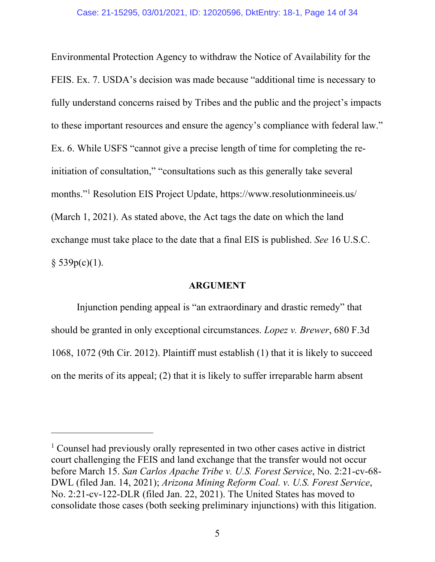Environmental Protection Agency to withdraw the Notice of Availability for the FEIS. Ex. 7. USDA's decision was made because "additional time is necessary to fully understand concerns raised by Tribes and the public and the project's impacts to these important resources and ensure the agency's compliance with federal law." Ex. 6. While USFS "cannot give a precise length of time for completing the reinitiation of consultation," "consultations such as this generally take several months."1 Resolution EIS Project Update, https://www.resolutionmineeis.us/ (March 1, 2021). As stated above, the Act tags the date on which the land exchange must take place to the date that a final EIS is published. *See* 16 U.S.C.  $§$  539p(c)(1).

#### **ARGUMENT**

Injunction pending appeal is "an extraordinary and drastic remedy" that should be granted in only exceptional circumstances. *Lopez v. Brewer*, 680 F.3d 1068, 1072 (9th Cir. 2012). Plaintiff must establish (1) that it is likely to succeed on the merits of its appeal; (2) that it is likely to suffer irreparable harm absent

 $\overline{a}$ 

<sup>&</sup>lt;sup>1</sup> Counsel had previously orally represented in two other cases active in district court challenging the FEIS and land exchange that the transfer would not occur before March 15. *San Carlos Apache Tribe v. U.S. Forest Service*, No. 2:21-cv-68- DWL (filed Jan. 14, 2021); *Arizona Mining Reform Coal. v. U.S. Forest Service*, No. 2:21-cv-122-DLR (filed Jan. 22, 2021). The United States has moved to consolidate those cases (both seeking preliminary injunctions) with this litigation.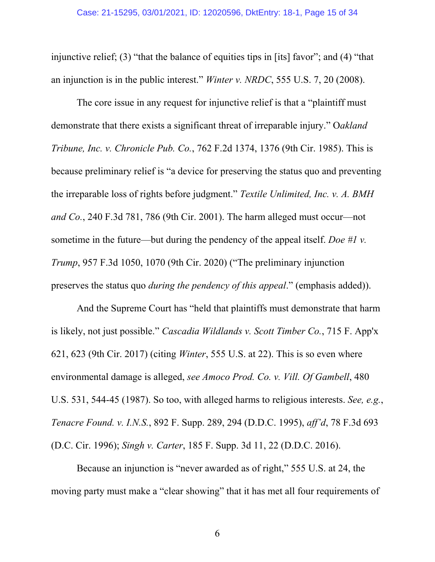injunctive relief; (3) "that the balance of equities tips in [its] favor"; and (4) "that an injunction is in the public interest." *Winter v. NRDC*, 555 U.S. 7, 20 (2008).

The core issue in any request for injunctive relief is that a "plaintiff must demonstrate that there exists a significant threat of irreparable injury." O*akland Tribune, Inc. v. Chronicle Pub. Co.*, 762 F.2d 1374, 1376 (9th Cir. 1985). This is because preliminary relief is "a device for preserving the status quo and preventing the irreparable loss of rights before judgment." *Textile Unlimited, Inc. v. A. BMH and Co.*, 240 F.3d 781, 786 (9th Cir. 2001). The harm alleged must occur—not sometime in the future—but during the pendency of the appeal itself. *Doe #1 v. Trump*, 957 F.3d 1050, 1070 (9th Cir. 2020) ("The preliminary injunction preserves the status quo *during the pendency of this appeal*." (emphasis added)).

And the Supreme Court has "held that plaintiffs must demonstrate that harm is likely, not just possible." *Cascadia Wildlands v. Scott Timber Co.*, 715 F. App'x 621, 623 (9th Cir. 2017) (citing *Winter*, 555 U.S. at 22). This is so even where environmental damage is alleged, *see Amoco Prod. Co. v. Vill. Of Gambell*, 480 U.S. 531, 544-45 (1987). So too, with alleged harms to religious interests. *See, e.g.*, *Tenacre Found. v. I.N.S.*, 892 F. Supp. 289, 294 (D.D.C. 1995), *aff'd*, 78 F.3d 693 (D.C. Cir. 1996); *Singh v. Carter*, 185 F. Supp. 3d 11, 22 (D.D.C. 2016).

Because an injunction is "never awarded as of right," 555 U.S. at 24, the moving party must make a "clear showing" that it has met all four requirements of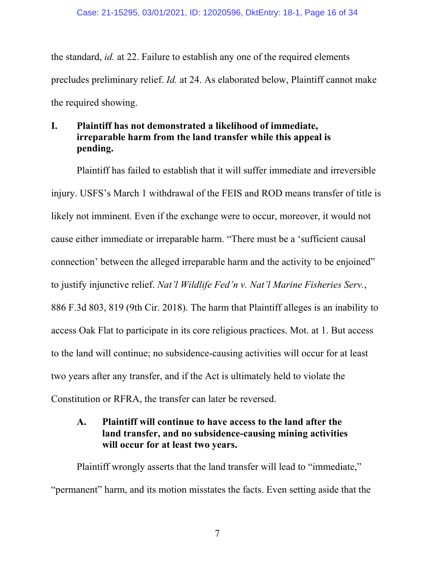the standard, *id.* at 22. Failure to establish any one of the required elements precludes preliminary relief. *Id.* at 24. As elaborated below, Plaintiff cannot make the required showing.

### **I. Plaintiff has not demonstrated a likelihood of immediate, irreparable harm from the land transfer while this appeal is pending.**

Plaintiff has failed to establish that it will suffer immediate and irreversible injury. USFS's March 1 withdrawal of the FEIS and ROD means transfer of title is likely not imminent. Even if the exchange were to occur, moreover, it would not cause either immediate or irreparable harm. "There must be a 'sufficient causal connection' between the alleged irreparable harm and the activity to be enjoined" to justify injunctive relief. *Nat'l Wildlife Fed'n v. Nat'l Marine Fisheries Serv.*, 886 F.3d 803, 819 (9th Cir. 2018). The harm that Plaintiff alleges is an inability to access Oak Flat to participate in its core religious practices. Mot. at 1. But access to the land will continue; no subsidence-causing activities will occur for at least two years after any transfer, and if the Act is ultimately held to violate the Constitution or RFRA, the transfer can later be reversed.

### **A. Plaintiff will continue to have access to the land after the land transfer, and no subsidence-causing mining activities will occur for at least two years.**

Plaintiff wrongly asserts that the land transfer will lead to "immediate," "permanent" harm, and its motion misstates the facts. Even setting aside that the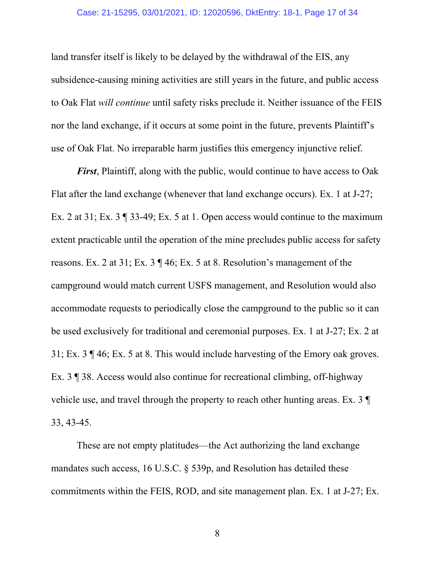#### Case: 21-15295, 03/01/2021, ID: 12020596, DktEntry: 18-1, Page 17 of 34

land transfer itself is likely to be delayed by the withdrawal of the EIS, any subsidence-causing mining activities are still years in the future, and public access to Oak Flat *will continue* until safety risks preclude it. Neither issuance of the FEIS nor the land exchange, if it occurs at some point in the future, prevents Plaintiff's use of Oak Flat. No irreparable harm justifies this emergency injunctive relief.

*First*, Plaintiff, along with the public, would continue to have access to Oak Flat after the land exchange (whenever that land exchange occurs). Ex. 1 at J-27; Ex. 2 at 31; Ex. 3 ¶ 33-49; Ex. 5 at 1. Open access would continue to the maximum extent practicable until the operation of the mine precludes public access for safety reasons. Ex. 2 at 31; Ex. 3 ¶ 46; Ex. 5 at 8. Resolution's management of the campground would match current USFS management, and Resolution would also accommodate requests to periodically close the campground to the public so it can be used exclusively for traditional and ceremonial purposes. Ex. 1 at J-27; Ex. 2 at 31; Ex. 3 ¶ 46; Ex. 5 at 8. This would include harvesting of the Emory oak groves. Ex. 3 ¶ 38. Access would also continue for recreational climbing, off-highway vehicle use, and travel through the property to reach other hunting areas. Ex. 3 ¶ 33, 43-45.

These are not empty platitudes—the Act authorizing the land exchange mandates such access, 16 U.S.C. § 539p, and Resolution has detailed these commitments within the FEIS, ROD, and site management plan. Ex. 1 at J-27; Ex.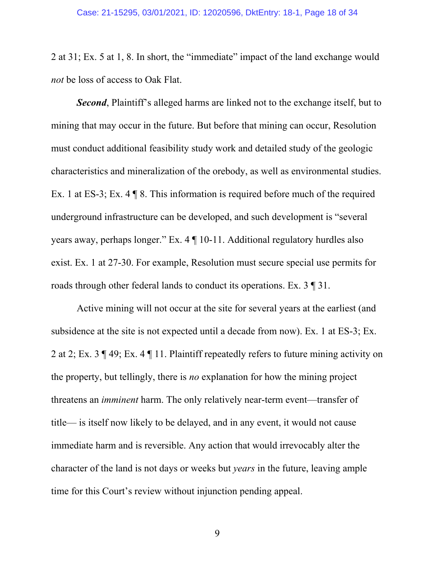2 at 31; Ex. 5 at 1, 8. In short, the "immediate" impact of the land exchange would *not* be loss of access to Oak Flat.

*Second*, Plaintiff's alleged harms are linked not to the exchange itself, but to mining that may occur in the future. But before that mining can occur, Resolution must conduct additional feasibility study work and detailed study of the geologic characteristics and mineralization of the orebody, as well as environmental studies. Ex. 1 at ES-3; Ex. 4 ¶ 8. This information is required before much of the required underground infrastructure can be developed, and such development is "several years away, perhaps longer." Ex. 4 ¶ 10-11. Additional regulatory hurdles also exist. Ex. 1 at 27-30. For example, Resolution must secure special use permits for roads through other federal lands to conduct its operations. Ex. 3 ¶ 31.

Active mining will not occur at the site for several years at the earliest (and subsidence at the site is not expected until a decade from now). Ex. 1 at ES-3; Ex. 2 at 2; Ex. 3 ¶ 49; Ex. 4 ¶ 11. Plaintiff repeatedly refers to future mining activity on the property, but tellingly, there is *no* explanation for how the mining project threatens an *imminent* harm. The only relatively near-term event—transfer of title— is itself now likely to be delayed, and in any event, it would not cause immediate harm and is reversible. Any action that would irrevocably alter the character of the land is not days or weeks but *years* in the future, leaving ample time for this Court's review without injunction pending appeal.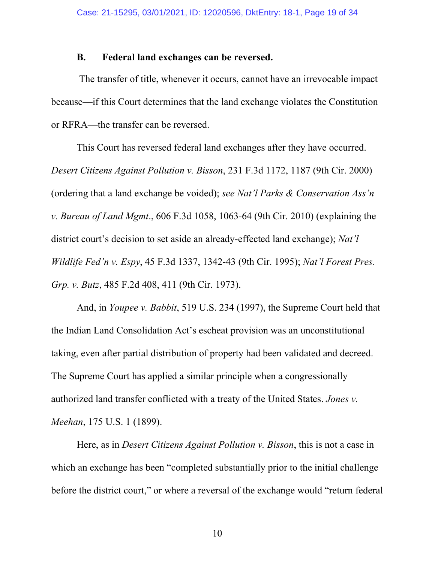#### **B. Federal land exchanges can be reversed.**

 The transfer of title, whenever it occurs, cannot have an irrevocable impact because—if this Court determines that the land exchange violates the Constitution or RFRA—the transfer can be reversed.

This Court has reversed federal land exchanges after they have occurred. *Desert Citizens Against Pollution v. Bisson*, 231 F.3d 1172, 1187 (9th Cir. 2000) (ordering that a land exchange be voided); *see Nat'l Parks & Conservation Ass'n v. Bureau of Land Mgmt*., 606 F.3d 1058, 1063-64 (9th Cir. 2010) (explaining the district court's decision to set aside an already-effected land exchange); *Nat'l Wildlife Fed'n v. Espy*, 45 F.3d 1337, 1342-43 (9th Cir. 1995); *Nat'l Forest Pres. Grp. v. Butz*, 485 F.2d 408, 411 (9th Cir. 1973).

And, in *Youpee v. Babbit*, 519 U.S. 234 (1997), the Supreme Court held that the Indian Land Consolidation Act's escheat provision was an unconstitutional taking, even after partial distribution of property had been validated and decreed. The Supreme Court has applied a similar principle when a congressionally authorized land transfer conflicted with a treaty of the United States. *Jones v. Meehan*, 175 U.S. 1 (1899).

Here, as in *Desert Citizens Against Pollution v. Bisson*, this is not a case in which an exchange has been "completed substantially prior to the initial challenge before the district court," or where a reversal of the exchange would "return federal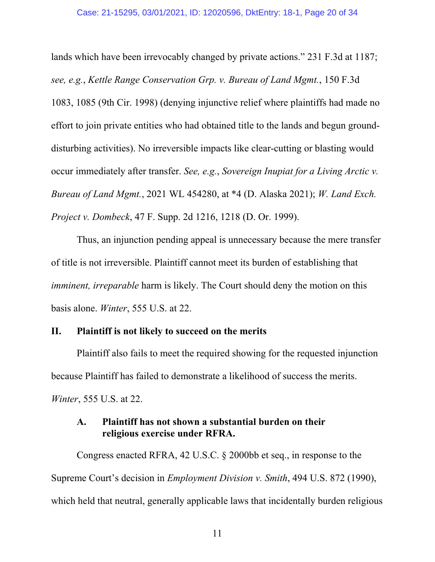lands which have been irrevocably changed by private actions." 231 F.3d at 1187; *see, e.g.*, *Kettle Range Conservation Grp. v. Bureau of Land Mgmt.*, 150 F.3d 1083, 1085 (9th Cir. 1998) (denying injunctive relief where plaintiffs had made no effort to join private entities who had obtained title to the lands and begun grounddisturbing activities). No irreversible impacts like clear-cutting or blasting would occur immediately after transfer. *See, e.g.*, *Sovereign Inupiat for a Living Arctic v. Bureau of Land Mgmt.*, 2021 WL 454280, at \*4 (D. Alaska 2021); *W. Land Exch. Project v. Dombeck*, 47 F. Supp. 2d 1216, 1218 (D. Or. 1999).

Thus, an injunction pending appeal is unnecessary because the mere transfer of title is not irreversible. Plaintiff cannot meet its burden of establishing that *imminent, irreparable* harm is likely. The Court should deny the motion on this basis alone. *Winter*, 555 U.S. at 22.

### **II. Plaintiff is not likely to succeed on the merits**

Plaintiff also fails to meet the required showing for the requested injunction because Plaintiff has failed to demonstrate a likelihood of success the merits. *Winter*, 555 U.S. at 22.

### **A. Plaintiff has not shown a substantial burden on their religious exercise under RFRA.**

 Congress enacted RFRA, 42 U.S.C. § 2000bb et seq., in response to the Supreme Court's decision in *Employment Division v. Smith*, 494 U.S. 872 (1990), which held that neutral, generally applicable laws that incidentally burden religious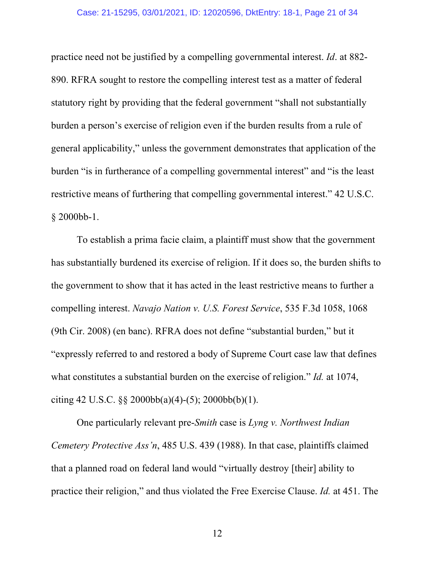practice need not be justified by a compelling governmental interest. *Id*. at 882- 890. RFRA sought to restore the compelling interest test as a matter of federal statutory right by providing that the federal government "shall not substantially burden a person's exercise of religion even if the burden results from a rule of general applicability," unless the government demonstrates that application of the burden "is in furtherance of a compelling governmental interest" and "is the least restrictive means of furthering that compelling governmental interest." 42 U.S.C. § 2000bb-1.

 To establish a prima facie claim, a plaintiff must show that the government has substantially burdened its exercise of religion. If it does so, the burden shifts to the government to show that it has acted in the least restrictive means to further a compelling interest. *Navajo Nation v. U.S. Forest Service*, 535 F.3d 1058, 1068 (9th Cir. 2008) (en banc). RFRA does not define "substantial burden," but it "expressly referred to and restored a body of Supreme Court case law that defines what constitutes a substantial burden on the exercise of religion." *Id.* at 1074, citing 42 U.S.C.  $\S$  2000bb(a)(4)-(5); 2000bb(b)(1).

 One particularly relevant pre-*Smith* case is *Lyng v. Northwest Indian Cemetery Protective Ass'n*, 485 U.S. 439 (1988). In that case, plaintiffs claimed that a planned road on federal land would "virtually destroy [their] ability to practice their religion," and thus violated the Free Exercise Clause. *Id.* at 451. The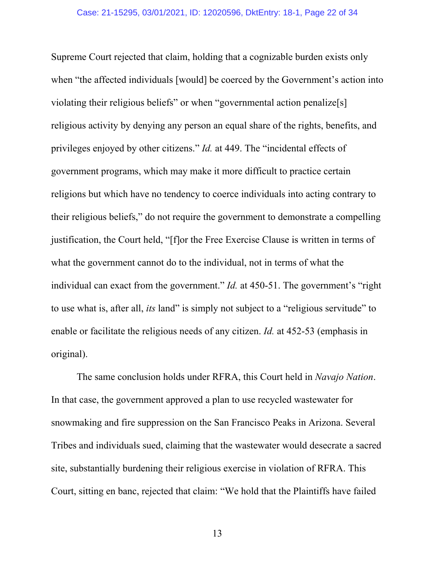Supreme Court rejected that claim, holding that a cognizable burden exists only when "the affected individuals [would] be coerced by the Government's action into violating their religious beliefs" or when "governmental action penalize[s] religious activity by denying any person an equal share of the rights, benefits, and privileges enjoyed by other citizens." *Id.* at 449. The "incidental effects of government programs, which may make it more difficult to practice certain religions but which have no tendency to coerce individuals into acting contrary to their religious beliefs," do not require the government to demonstrate a compelling justification, the Court held, "[f]or the Free Exercise Clause is written in terms of what the government cannot do to the individual, not in terms of what the individual can exact from the government." *Id.* at 450-51. The government's "right to use what is, after all, *its* land" is simply not subject to a "religious servitude" to enable or facilitate the religious needs of any citizen. *Id.* at 452-53 (emphasis in original).

 The same conclusion holds under RFRA, this Court held in *Navajo Nation*. In that case, the government approved a plan to use recycled wastewater for snowmaking and fire suppression on the San Francisco Peaks in Arizona. Several Tribes and individuals sued, claiming that the wastewater would desecrate a sacred site, substantially burdening their religious exercise in violation of RFRA. This Court, sitting en banc, rejected that claim: "We hold that the Plaintiffs have failed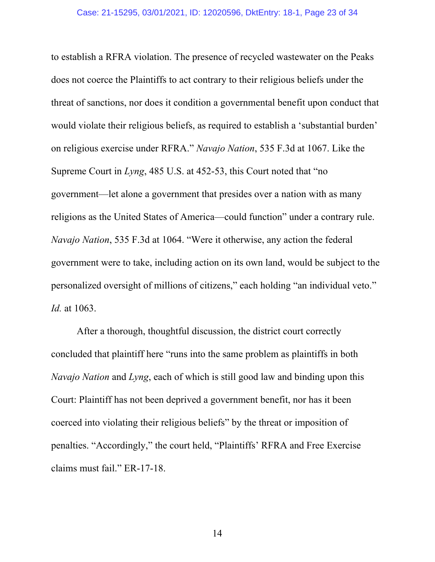to establish a RFRA violation. The presence of recycled wastewater on the Peaks does not coerce the Plaintiffs to act contrary to their religious beliefs under the threat of sanctions, nor does it condition a governmental benefit upon conduct that would violate their religious beliefs, as required to establish a 'substantial burden' on religious exercise under RFRA." *Navajo Nation*, 535 F.3d at 1067. Like the Supreme Court in *Lyng*, 485 U.S. at 452-53, this Court noted that "no government—let alone a government that presides over a nation with as many religions as the United States of America—could function" under a contrary rule. *Navajo Nation*, 535 F.3d at 1064. "Were it otherwise, any action the federal government were to take, including action on its own land, would be subject to the personalized oversight of millions of citizens," each holding "an individual veto." *Id.* at 1063.

 After a thorough, thoughtful discussion, the district court correctly concluded that plaintiff here "runs into the same problem as plaintiffs in both *Navajo Nation* and *Lyng*, each of which is still good law and binding upon this Court: Plaintiff has not been deprived a government benefit, nor has it been coerced into violating their religious beliefs" by the threat or imposition of penalties. "Accordingly," the court held, "Plaintiffs' RFRA and Free Exercise claims must fail." ER-17-18.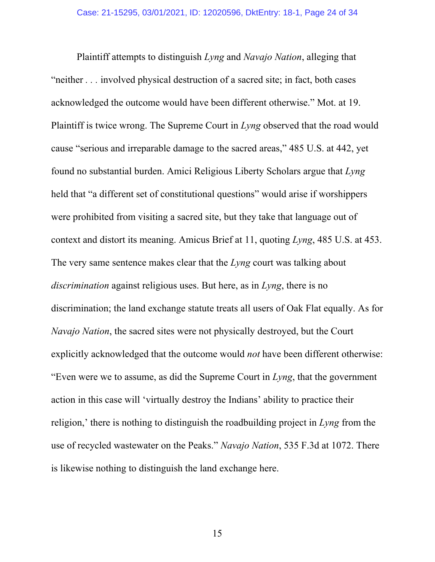Plaintiff attempts to distinguish *Lyng* and *Navajo Nation*, alleging that "neither *. . .* involved physical destruction of a sacred site; in fact, both cases acknowledged the outcome would have been different otherwise." Mot. at 19. Plaintiff is twice wrong. The Supreme Court in *Lyng* observed that the road would cause "serious and irreparable damage to the sacred areas," 485 U.S. at 442, yet found no substantial burden. Amici Religious Liberty Scholars argue that *Lyng* held that "a different set of constitutional questions" would arise if worshippers were prohibited from visiting a sacred site, but they take that language out of context and distort its meaning. Amicus Brief at 11, quoting *Lyng*, 485 U.S. at 453. The very same sentence makes clear that the *Lyng* court was talking about *discrimination* against religious uses. But here, as in *Lyng*, there is no discrimination; the land exchange statute treats all users of Oak Flat equally. As for *Navajo Nation*, the sacred sites were not physically destroyed, but the Court explicitly acknowledged that the outcome would *not* have been different otherwise: "Even were we to assume, as did the Supreme Court in *Lyng*, that the government action in this case will 'virtually destroy the Indians' ability to practice their religion,' there is nothing to distinguish the roadbuilding project in *Lyng* from the use of recycled wastewater on the Peaks." *Navajo Nation*, 535 F.3d at 1072. There is likewise nothing to distinguish the land exchange here.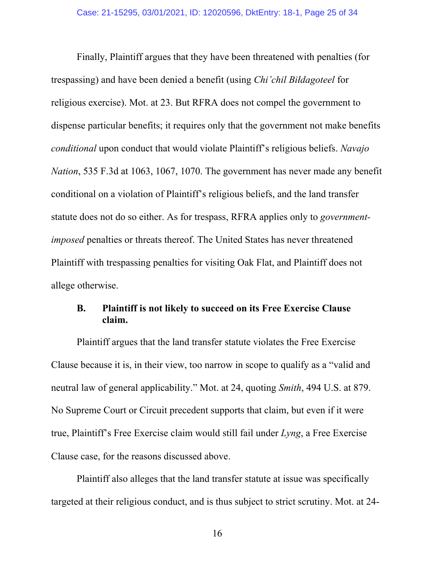Finally, Plaintiff argues that they have been threatened with penalties (for trespassing) and have been denied a benefit (using *Chi'chil Biłdagoteel* for religious exercise). Mot. at 23. But RFRA does not compel the government to dispense particular benefits; it requires only that the government not make benefits *conditional* upon conduct that would violate Plaintiff's religious beliefs. *Navajo Nation*, 535 F.3d at 1063, 1067, 1070. The government has never made any benefit conditional on a violation of Plaintiff's religious beliefs, and the land transfer statute does not do so either. As for trespass, RFRA applies only to *governmentimposed* penalties or threats thereof. The United States has never threatened Plaintiff with trespassing penalties for visiting Oak Flat, and Plaintiff does not allege otherwise.

### **B. Plaintiff is not likely to succeed on its Free Exercise Clause claim.**

Plaintiff argues that the land transfer statute violates the Free Exercise Clause because it is, in their view, too narrow in scope to qualify as a "valid and neutral law of general applicability." Mot. at 24, quoting *Smith*, 494 U.S. at 879. No Supreme Court or Circuit precedent supports that claim, but even if it were true, Plaintiff's Free Exercise claim would still fail under *Lyng*, a Free Exercise Clause case, for the reasons discussed above.

Plaintiff also alleges that the land transfer statute at issue was specifically targeted at their religious conduct, and is thus subject to strict scrutiny. Mot. at 24-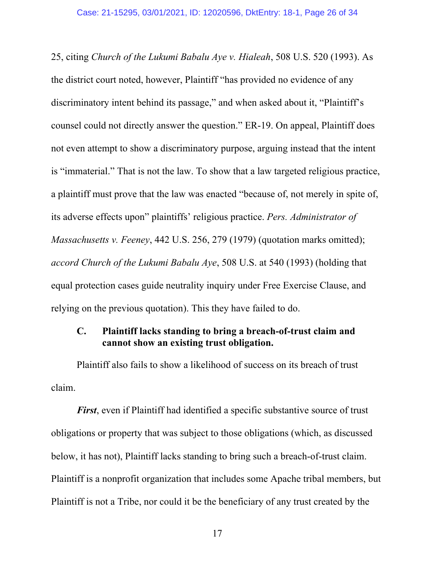25, citing *Church of the Lukumi Babalu Aye v. Hialeah*, 508 U.S. 520 (1993). As the district court noted, however, Plaintiff "has provided no evidence of any discriminatory intent behind its passage," and when asked about it, "Plaintiff's counsel could not directly answer the question." ER-19. On appeal, Plaintiff does not even attempt to show a discriminatory purpose, arguing instead that the intent is "immaterial." That is not the law. To show that a law targeted religious practice, a plaintiff must prove that the law was enacted "because of, not merely in spite of, its adverse effects upon" plaintiffs' religious practice. *Pers. Administrator of Massachusetts v. Feeney*, 442 U.S. 256, 279 (1979) (quotation marks omitted); *accord Church of the Lukumi Babalu Aye*, 508 U.S. at 540 (1993) (holding that equal protection cases guide neutrality inquiry under Free Exercise Clause, and relying on the previous quotation). This they have failed to do.

### **C. Plaintiff lacks standing to bring a breach-of-trust claim and cannot show an existing trust obligation.**

Plaintiff also fails to show a likelihood of success on its breach of trust claim.

*First*, even if Plaintiff had identified a specific substantive source of trust obligations or property that was subject to those obligations (which, as discussed below, it has not), Plaintiff lacks standing to bring such a breach-of-trust claim. Plaintiff is a nonprofit organization that includes some Apache tribal members, but Plaintiff is not a Tribe, nor could it be the beneficiary of any trust created by the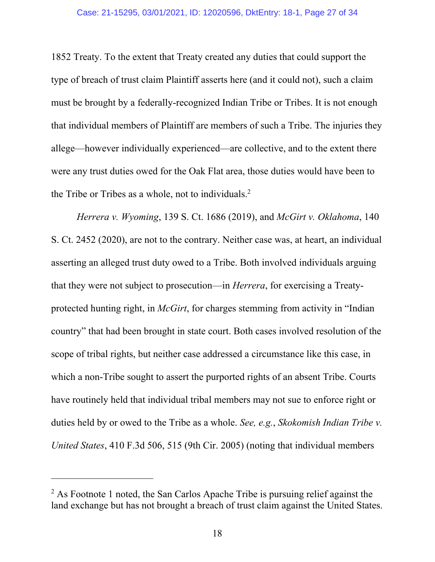1852 Treaty. To the extent that Treaty created any duties that could support the type of breach of trust claim Plaintiff asserts here (and it could not), such a claim must be brought by a federally-recognized Indian Tribe or Tribes. It is not enough that individual members of Plaintiff are members of such a Tribe. The injuries they allege—however individually experienced—are collective, and to the extent there were any trust duties owed for the Oak Flat area, those duties would have been to the Tribe or Tribes as a whole, not to individuals. $2$ 

*Herrera v. Wyoming*, 139 S. Ct. 1686 (2019), and *McGirt v. Oklahoma*, 140 S. Ct. 2452 (2020), are not to the contrary. Neither case was, at heart, an individual asserting an alleged trust duty owed to a Tribe. Both involved individuals arguing that they were not subject to prosecution—in *Herrera*, for exercising a Treatyprotected hunting right, in *McGirt*, for charges stemming from activity in "Indian country" that had been brought in state court. Both cases involved resolution of the scope of tribal rights, but neither case addressed a circumstance like this case, in which a non-Tribe sought to assert the purported rights of an absent Tribe. Courts have routinely held that individual tribal members may not sue to enforce right or duties held by or owed to the Tribe as a whole. *See, e.g.*, *Skokomish Indian Tribe v. United States*, 410 F.3d 506, 515 (9th Cir. 2005) (noting that individual members

 $\overline{a}$ 

 $2$  As Footnote 1 noted, the San Carlos Apache Tribe is pursuing relief against the land exchange but has not brought a breach of trust claim against the United States.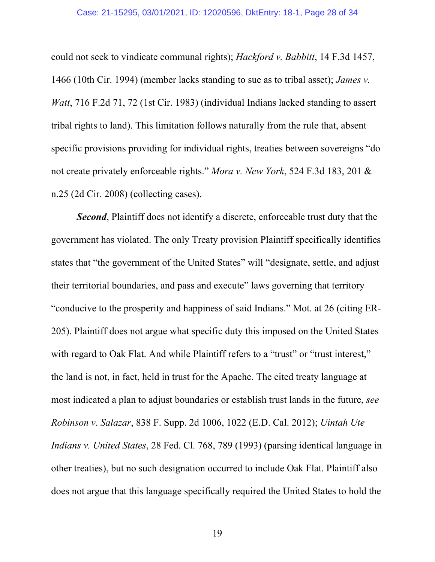#### Case: 21-15295, 03/01/2021, ID: 12020596, DktEntry: 18-1, Page 28 of 34

could not seek to vindicate communal rights); *Hackford v. Babbitt*, 14 F.3d 1457, 1466 (10th Cir. 1994) (member lacks standing to sue as to tribal asset); *James v. Watt*, 716 F.2d 71, 72 (1st Cir. 1983) (individual Indians lacked standing to assert tribal rights to land). This limitation follows naturally from the rule that, absent specific provisions providing for individual rights, treaties between sovereigns "do not create privately enforceable rights." *Mora v. New York*, 524 F.3d 183, 201 & n.25 (2d Cir. 2008) (collecting cases).

*Second*, Plaintiff does not identify a discrete, enforceable trust duty that the government has violated. The only Treaty provision Plaintiff specifically identifies states that "the government of the United States" will "designate, settle, and adjust their territorial boundaries, and pass and execute" laws governing that territory "conducive to the prosperity and happiness of said Indians." Mot. at 26 (citing ER-205). Plaintiff does not argue what specific duty this imposed on the United States with regard to Oak Flat. And while Plaintiff refers to a "trust" or "trust interest," the land is not, in fact, held in trust for the Apache. The cited treaty language at most indicated a plan to adjust boundaries or establish trust lands in the future, *see Robinson v. Salazar*, 838 F. Supp. 2d 1006, 1022 (E.D. Cal. 2012); *Uintah Ute Indians v. United States*, 28 Fed. Cl. 768, 789 (1993) (parsing identical language in other treaties), but no such designation occurred to include Oak Flat. Plaintiff also does not argue that this language specifically required the United States to hold the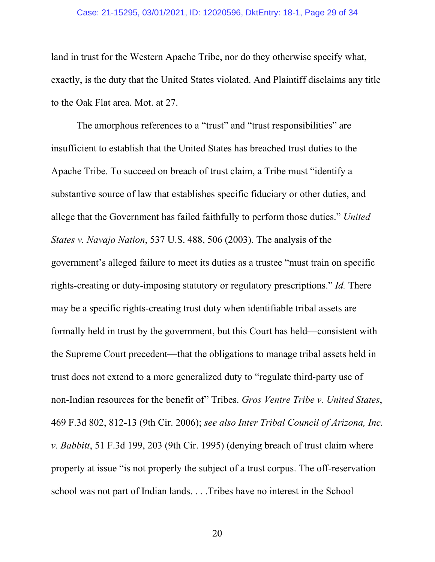#### Case: 21-15295, 03/01/2021, ID: 12020596, DktEntry: 18-1, Page 29 of 34

land in trust for the Western Apache Tribe, nor do they otherwise specify what, exactly, is the duty that the United States violated. And Plaintiff disclaims any title to the Oak Flat area. Mot. at 27.

The amorphous references to a "trust" and "trust responsibilities" are insufficient to establish that the United States has breached trust duties to the Apache Tribe. To succeed on breach of trust claim, a Tribe must "identify a substantive source of law that establishes specific fiduciary or other duties, and allege that the Government has failed faithfully to perform those duties." *United States v. Navajo Nation*, 537 U.S. 488, 506 (2003). The analysis of the government's alleged failure to meet its duties as a trustee "must train on specific rights-creating or duty-imposing statutory or regulatory prescriptions." *Id.* There may be a specific rights-creating trust duty when identifiable tribal assets are formally held in trust by the government, but this Court has held—consistent with the Supreme Court precedent—that the obligations to manage tribal assets held in trust does not extend to a more generalized duty to "regulate third-party use of non-Indian resources for the benefit of" Tribes. *Gros Ventre Tribe v. United States*, 469 F.3d 802, 812-13 (9th Cir. 2006); *see also Inter Tribal Council of Arizona, Inc. v. Babbitt*, 51 F.3d 199, 203 (9th Cir. 1995) (denying breach of trust claim where property at issue "is not properly the subject of a trust corpus. The off-reservation school was not part of Indian lands. . . .Tribes have no interest in the School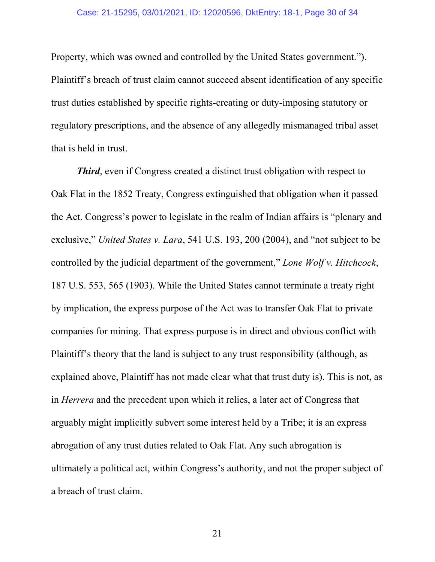Property, which was owned and controlled by the United States government."). Plaintiff's breach of trust claim cannot succeed absent identification of any specific trust duties established by specific rights-creating or duty-imposing statutory or regulatory prescriptions, and the absence of any allegedly mismanaged tribal asset that is held in trust.

*Third*, even if Congress created a distinct trust obligation with respect to Oak Flat in the 1852 Treaty, Congress extinguished that obligation when it passed the Act. Congress's power to legislate in the realm of Indian affairs is "plenary and exclusive," *United States v. Lara*, 541 U.S. 193, 200 (2004), and "not subject to be controlled by the judicial department of the government," *Lone Wolf v. Hitchcock*, 187 U.S. 553, 565 (1903). While the United States cannot terminate a treaty right by implication, the express purpose of the Act was to transfer Oak Flat to private companies for mining. That express purpose is in direct and obvious conflict with Plaintiff's theory that the land is subject to any trust responsibility (although, as explained above, Plaintiff has not made clear what that trust duty is). This is not, as in *Herrera* and the precedent upon which it relies, a later act of Congress that arguably might implicitly subvert some interest held by a Tribe; it is an express abrogation of any trust duties related to Oak Flat. Any such abrogation is ultimately a political act, within Congress's authority, and not the proper subject of a breach of trust claim.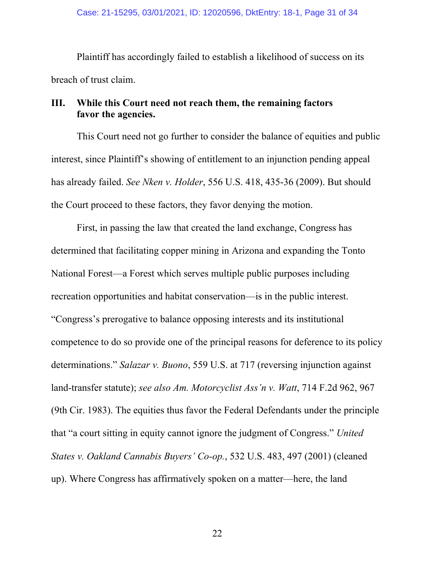Plaintiff has accordingly failed to establish a likelihood of success on its breach of trust claim.

### **III. While this Court need not reach them, the remaining factors favor the agencies.**

This Court need not go further to consider the balance of equities and public interest, since Plaintiff's showing of entitlement to an injunction pending appeal has already failed. *See Nken v. Holder*, 556 U.S. 418, 435-36 (2009). But should the Court proceed to these factors, they favor denying the motion.

First, in passing the law that created the land exchange, Congress has determined that facilitating copper mining in Arizona and expanding the Tonto National Forest—a Forest which serves multiple public purposes including recreation opportunities and habitat conservation—is in the public interest. "Congress's prerogative to balance opposing interests and its institutional competence to do so provide one of the principal reasons for deference to its policy determinations." *Salazar v. Buono*, 559 U.S. at 717 (reversing injunction against land-transfer statute); *see also Am. Motorcyclist Ass'n v. Watt*, 714 F.2d 962, 967 (9th Cir. 1983). The equities thus favor the Federal Defendants under the principle that "a court sitting in equity cannot ignore the judgment of Congress." *United States v. Oakland Cannabis Buyers' Co-op.*, 532 U.S. 483, 497 (2001) (cleaned up). Where Congress has affirmatively spoken on a matter—here, the land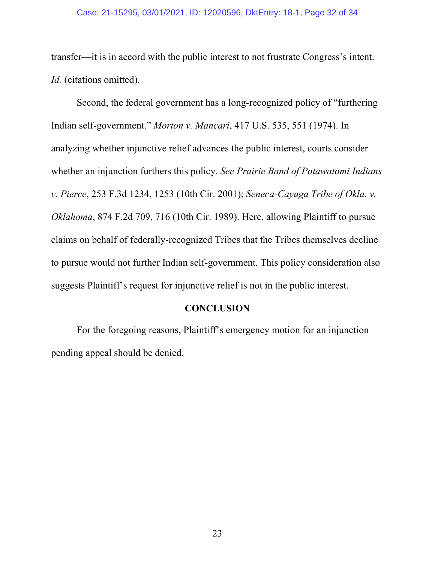transfer—it is in accord with the public interest to not frustrate Congress's intent. *Id.* (citations omitted).

Second, the federal government has a long-recognized policy of "furthering Indian self-government." *Morton v. Mancari*, 417 U.S. 535, 551 (1974). In analyzing whether injunctive relief advances the public interest, courts consider whether an injunction furthers this policy. *See Prairie Band of Potawatomi Indians v. Pierce*, 253 F.3d 1234, 1253 (10th Cir. 2001); *Seneca-Cayuga Tribe of Okla. v. Oklahoma*, 874 F.2d 709, 716 (10th Cir. 1989). Here, allowing Plaintiff to pursue claims on behalf of federally-recognized Tribes that the Tribes themselves decline to pursue would not further Indian self-government. This policy consideration also suggests Plaintiff's request for injunctive relief is not in the public interest.

#### **CONCLUSION**

 For the foregoing reasons, Plaintiff's emergency motion for an injunction pending appeal should be denied.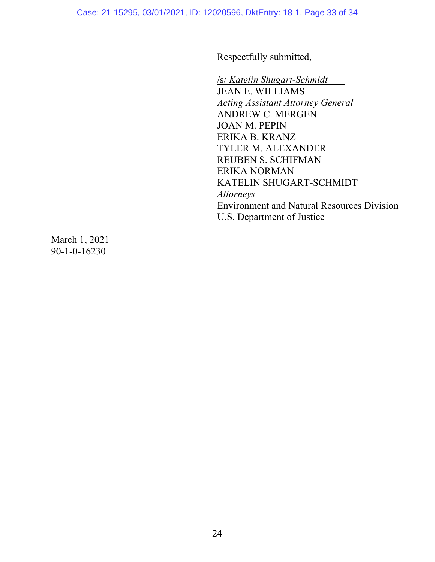Respectfully submitted,

/s/ *Katelin Shugart-Schmidt* JEAN E. WILLIAMS *Acting Assistant Attorney General*  ANDREW C. MERGEN JOAN M. PEPIN ERIKA B. KRANZ TYLER M. ALEXANDER REUBEN S. SCHIFMAN ERIKA NORMAN KATELIN SHUGART-SCHMIDT *Attorneys*  Environment and Natural Resources Division U.S. Department of Justice

March 1, 2021 90-1-0-16230